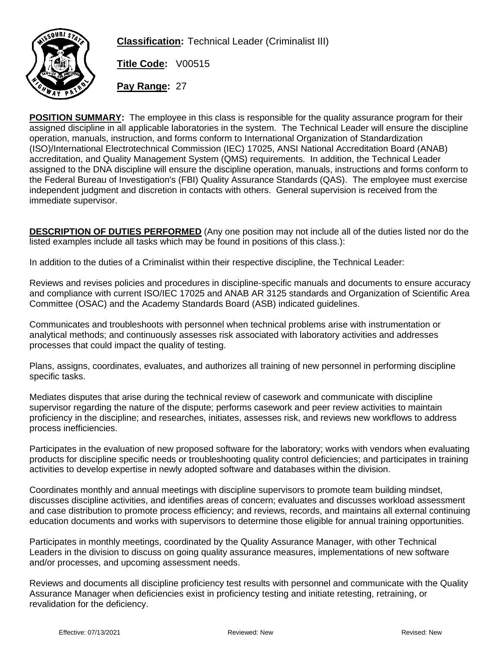

**Classification:** Technical Leader (Criminalist III)

**Title Code:** V00515

**Pay Range:** 27

**POSITION SUMMARY:** The employee in this class is responsible for the quality assurance program for their assigned discipline in all applicable laboratories in the system. The Technical Leader will ensure the discipline operation, manuals, instruction, and forms conform to International Organization of Standardization (ISO)/International Electrotechnical Commission (IEC) 17025, ANSI National Accreditation Board (ANAB) accreditation, and Quality Management System (QMS) requirements. In addition, the Technical Leader assigned to the DNA discipline will ensure the discipline operation, manuals, instructions and forms conform to the Federal Bureau of Investigation's (FBI) Quality Assurance Standards (QAS). The employee must exercise independent judgment and discretion in contacts with others. General supervision is received from the immediate supervisor.

**DESCRIPTION OF DUTIES PERFORMED** (Any one position may not include all of the duties listed nor do the listed examples include all tasks which may be found in positions of this class.):

In addition to the duties of a Criminalist within their respective discipline, the Technical Leader:

Reviews and revises policies and procedures in discipline-specific manuals and documents to ensure accuracy and compliance with current ISO/IEC 17025 and ANAB AR 3125 standards and Organization of Scientific Area Committee (OSAC) and the Academy Standards Board (ASB) indicated guidelines.

Communicates and troubleshoots with personnel when technical problems arise with instrumentation or analytical methods; and continuously assesses risk associated with laboratory activities and addresses processes that could impact the quality of testing.

Plans, assigns, coordinates, evaluates, and authorizes all training of new personnel in performing discipline specific tasks.

Mediates disputes that arise during the technical review of casework and communicate with discipline supervisor regarding the nature of the dispute; performs casework and peer review activities to maintain proficiency in the discipline; and researches, initiates, assesses risk, and reviews new workflows to address process inefficiencies.

Participates in the evaluation of new proposed software for the laboratory; works with vendors when evaluating products for discipline specific needs or troubleshooting quality control deficiencies; and participates in training activities to develop expertise in newly adopted software and databases within the division.

Coordinates monthly and annual meetings with discipline supervisors to promote team building mindset, discusses discipline activities, and identifies areas of concern; evaluates and discusses workload assessment and case distribution to promote process efficiency; and reviews, records, and maintains all external continuing education documents and works with supervisors to determine those eligible for annual training opportunities.

Participates in monthly meetings, coordinated by the Quality Assurance Manager, with other Technical Leaders in the division to discuss on going quality assurance measures, implementations of new software and/or processes, and upcoming assessment needs.

Reviews and documents all discipline proficiency test results with personnel and communicate with the Quality Assurance Manager when deficiencies exist in proficiency testing and initiate retesting, retraining, or revalidation for the deficiency.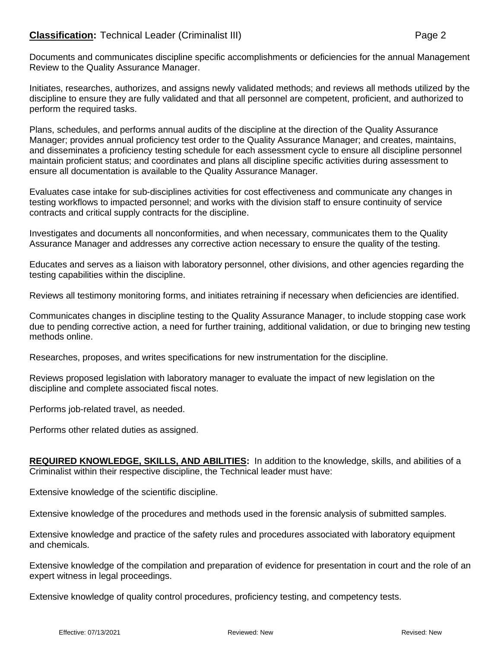## **Classification:** Technical Leader (Criminalist III) **Page 2** Page 2

Initiates, researches, authorizes, and assigns newly validated methods; and reviews all methods utilized by the discipline to ensure they are fully validated and that all personnel are competent, proficient, and authorized to perform the required tasks.

Plans, schedules, and performs annual audits of the discipline at the direction of the Quality Assurance Manager; provides annual proficiency test order to the Quality Assurance Manager; and creates, maintains, and disseminates a proficiency testing schedule for each assessment cycle to ensure all discipline personnel maintain proficient status; and coordinates and plans all discipline specific activities during assessment to ensure all documentation is available to the Quality Assurance Manager.

Evaluates case intake for sub-disciplines activities for cost effectiveness and communicate any changes in testing workflows to impacted personnel; and works with the division staff to ensure continuity of service contracts and critical supply contracts for the discipline.

Investigates and documents all nonconformities, and when necessary, communicates them to the Quality Assurance Manager and addresses any corrective action necessary to ensure the quality of the testing.

Educates and serves as a liaison with laboratory personnel, other divisions, and other agencies regarding the testing capabilities within the discipline.

Reviews all testimony monitoring forms, and initiates retraining if necessary when deficiencies are identified.

Communicates changes in discipline testing to the Quality Assurance Manager, to include stopping case work due to pending corrective action, a need for further training, additional validation, or due to bringing new testing methods online.

Researches, proposes, and writes specifications for new instrumentation for the discipline.

Reviews proposed legislation with laboratory manager to evaluate the impact of new legislation on the discipline and complete associated fiscal notes.

Performs job-related travel, as needed.

Performs other related duties as assigned.

**REQUIRED KNOWLEDGE, SKILLS, AND ABILITIES:** In addition to the knowledge, skills, and abilities of a Criminalist within their respective discipline, the Technical leader must have:

Extensive knowledge of the scientific discipline.

Extensive knowledge of the procedures and methods used in the forensic analysis of submitted samples.

Extensive knowledge and practice of the safety rules and procedures associated with laboratory equipment and chemicals.

Extensive knowledge of the compilation and preparation of evidence for presentation in court and the role of an expert witness in legal proceedings.

Extensive knowledge of quality control procedures, proficiency testing, and competency tests.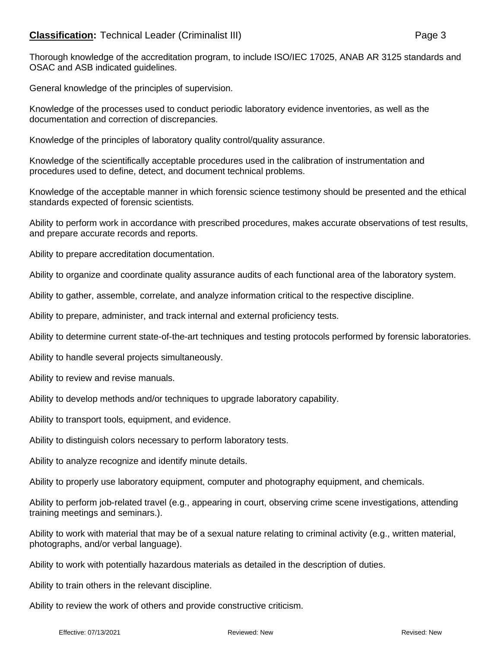## **Classification:** Technical Leader (Criminalist III) **Page 3**

Thorough knowledge of the accreditation program, to include ISO/IEC 17025, ANAB AR 3125 standards and OSAC and ASB indicated guidelines.

General knowledge of the principles of supervision.

Knowledge of the processes used to conduct periodic laboratory evidence inventories, as well as the documentation and correction of discrepancies.

Knowledge of the principles of laboratory quality control/quality assurance.

Knowledge of the scientifically acceptable procedures used in the calibration of instrumentation and procedures used to define, detect, and document technical problems.

Knowledge of the acceptable manner in which forensic science testimony should be presented and the ethical standards expected of forensic scientists.

Ability to perform work in accordance with prescribed procedures, makes accurate observations of test results, and prepare accurate records and reports.

Ability to prepare accreditation documentation.

Ability to organize and coordinate quality assurance audits of each functional area of the laboratory system.

Ability to gather, assemble, correlate, and analyze information critical to the respective discipline.

Ability to prepare, administer, and track internal and external proficiency tests.

Ability to determine current state-of-the-art techniques and testing protocols performed by forensic laboratories.

Ability to handle several projects simultaneously.

Ability to review and revise manuals.

Ability to develop methods and/or techniques to upgrade laboratory capability.

Ability to transport tools, equipment, and evidence.

Ability to distinguish colors necessary to perform laboratory tests.

Ability to analyze recognize and identify minute details.

Ability to properly use laboratory equipment, computer and photography equipment, and chemicals.

Ability to perform job-related travel (e.g., appearing in court, observing crime scene investigations, attending training meetings and seminars.).

Ability to work with material that may be of a sexual nature relating to criminal activity (e.g., written material, photographs, and/or verbal language).

Ability to work with potentially hazardous materials as detailed in the description of duties.

Ability to train others in the relevant discipline.

Ability to review the work of others and provide constructive criticism.